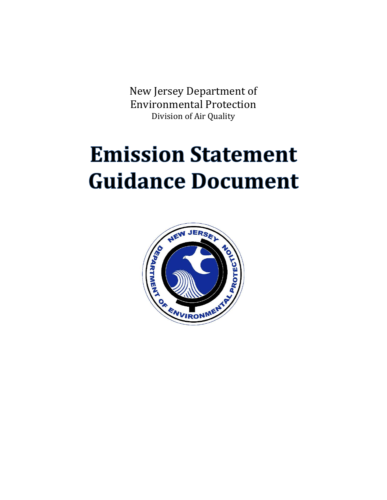New Jersey Department of Environmental Protection Division of Air Quality

# **Emission Statement Guidance Document**

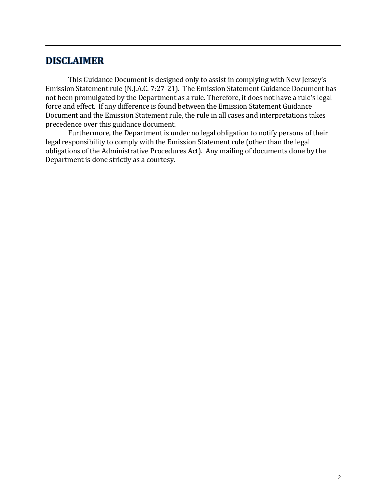# **DISCLAIMER**

This Guidance Document is designed only to assist in complying with New Jersey's Emission Statement rule (N.J.A.C. 7:27-21). The Emission Statement Guidance Document has not been promulgated by the Department as a rule. Therefore, it does not have a rule's legal force and effect. If any difference is found between the Emission Statement Guidance Document and the Emission Statement rule, the rule in all cases and interpretations takes precedence over this guidance document.

Furthermore, the Department is under no legal obligation to notify persons of their legal responsibility to comply with the Emission Statement rule (other than the legal obligations of the Administrative Procedures Act). Any mailing of documents done by the Department is done strictly as a courtesy.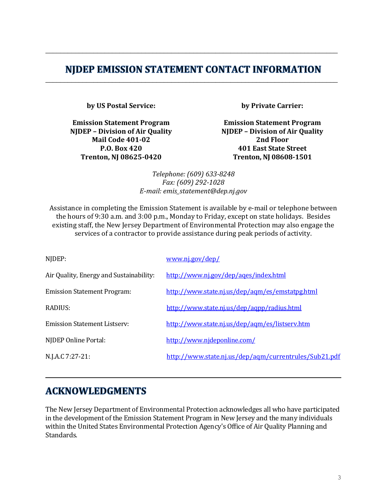# NJDEP EMISSION STATEMENT CONTACT INFORMATION \_\_\_\_\_\_\_\_\_\_\_\_\_\_\_\_\_\_\_\_\_\_\_\_\_\_\_\_\_\_\_\_\_\_\_\_\_\_\_\_\_\_\_\_\_\_\_\_\_\_\_\_\_\_\_\_\_\_\_\_\_\_\_\_\_\_\_\_\_\_\_\_\_\_\_\_\_\_\_

\_\_\_\_\_\_\_\_\_\_\_\_\_\_\_\_\_\_\_\_\_\_\_\_\_\_\_\_\_\_\_\_\_\_\_\_\_\_\_\_\_\_\_\_\_\_\_\_\_\_\_\_\_\_\_\_\_\_\_\_\_\_\_\_\_\_\_\_\_\_\_\_\_\_\_\_\_\_\_

**by US Postal Service:**

**Emission Statement Program NJDEP – Division of Air Quality Mail Code 401-02 P.O. Box 420 Trenton, NJ 08625-0420**

**by Private Carrier:**

**Emission Statement Program NJDEP – Division of Air Quality 2nd Floor 401 East State Street Trenton, NJ 08608-1501**

*Telephone: (609) 633-8248 Fax: (609) 292-1028 E-mail: emis\_statement@dep.nj.gov*

Assistance in completing the Emission Statement is available by e-mail or telephone between the hours of 9:30 a.m. and 3:00 p.m., Monday to Friday, except on state holidays. Besides existing staff, the New Jersey Department of Environmental Protection may also engage the services of a contractor to provide assistance during peak periods of activity.

| NJDEP:                                  | www.nj.gov/dep/                                       |
|-----------------------------------------|-------------------------------------------------------|
| Air Quality, Energy and Sustainability: | http://www.nj.gov/dep/ages/index.html                 |
| <b>Emission Statement Program:</b>      | http://www.state.nj.us/dep/agm/es/emstatpg.html       |
| RADIUS:                                 | http://www.state.nj.us/dep/agpp/radius.html           |
| Emission Statement Listsery:            | http://www.state.nj.us/dep/agm/es/listsery.htm        |
| NJDEP Online Portal:                    | http://www.njdeponline.com/                           |
| N.J.A.C 7:27-21:                        | http://www.state.nj.us/dep/agm/currentrules/Sub21.pdf |
|                                         |                                                       |

# **ACKNOWLEDGMENTS**

The New Jersey Department of Environmental Protection acknowledges all who have participated in the development of the Emission Statement Program in New Jersey and the many individuals within the United States Environmental Protection Agency's Office of Air Quality Planning and Standards.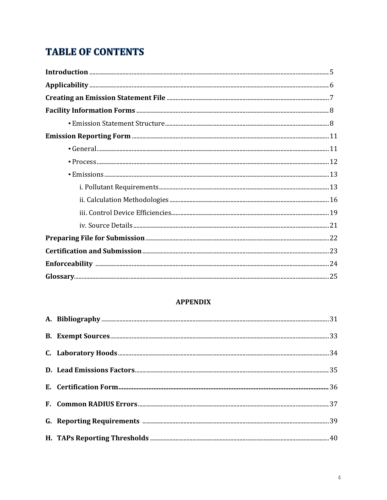# **TABLE OF CONTENTS**

# **APPENDIX**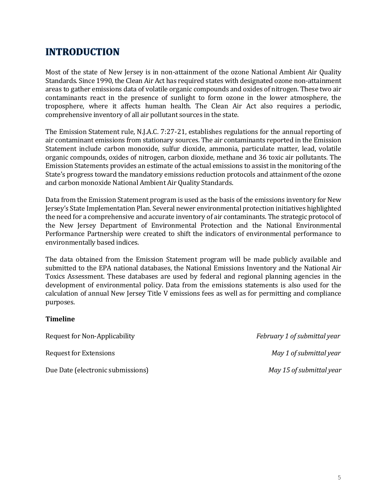# **INTRODUCTION**

Most of the state of New Jersey is in non-attainment of the ozone National Ambient Air Quality Standards. Since 1990, the Clean Air Act has required states with designated ozone non-attainment areas to gather emissions data of volatile organic compounds and oxides of nitrogen. These two air contaminants react in the presence of sunlight to form ozone in the lower atmosphere, the troposphere, where it affects human health. The Clean Air Act also requires a periodic, comprehensive inventory of all air pollutant sources in the state.

The Emission Statement rule, N.J.A.C. 7:27-21, establishes regulations for the annual reporting of air contaminant emissions from stationary sources. The air contaminants reported in the Emission Statement include carbon monoxide, sulfur dioxide, ammonia, particulate matter, lead, volatile organic compounds, oxides of nitrogen, carbon dioxide, methane and 36 toxic air pollutants. The Emission Statements provides an estimate of the actual emissions to assist in the monitoring of the State's progress toward the mandatory emissions reduction protocols and attainment of the ozone and carbon monoxide National Ambient Air Quality Standards.

Data from the Emission Statement program is used as the basis of the emissions inventory for New Jersey's State Implementation Plan. Several newer environmental protection initiatives highlighted the need for a comprehensive and accurate inventory of air contaminants. The strategic protocol of the New Jersey Department of Environmental Protection and the National Environmental Performance Partnership were created to shift the indicators of environmental performance to environmentally based indices.

The data obtained from the Emission Statement program will be made publicly available and submitted to the EPA national databases, the National Emissions Inventory and the National Air Toxics Assessment. These databases are used by federal and regional planning agencies in the development of environmental policy. Data from the emissions statements is also used for the calculation of annual New Jersey Title V emissions fees as well as for permitting and compliance purposes.

#### **Timeline**

| Request for Non-Applicability     | February 1 of submittal year |
|-----------------------------------|------------------------------|
| Request for Extensions            | May 1 of submittal year      |
| Due Date (electronic submissions) | May 15 of submittal year     |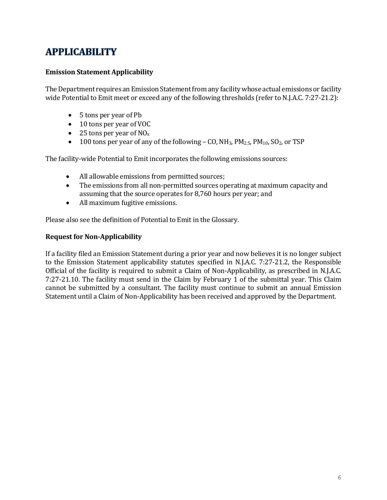# **APPLICABILITY**

# **Emission Statement Applicability**

The Department requires an Emission Statement from any facility whose actual emissions or facility wide Potential to Emit meet or exceed any of the following thresholds (refer to [N.J.A.C. 7:27-21.](http://www.state.nj.us/dep/aqm/currentrules/Sub21.pdf)2):

- 5 tons per year of Pb
- 10 tons per year of VOC
- 25 tons per year of  $NO<sub>x</sub>$
- 100 tons per year of any of the following CO,  $NH_3$ ,  $PM_{2.5}$ ,  $PM_{10}$ ,  $SO_2$ , or TSP

The facility-wide Potential to Emit incorporates the following emissions sources:

- All allowable emissions from permitted sources;
- The emissions from all non-permitted sources operating at maximum capacity and assuming that the source operates for 8,760 hours per year; and
- All maximum fugitive emissions.

Please also see the definition of Potential to Emit in the Glossary.

# **Request for Non-Applicability**

If a facility filed an Emission Statement during a prior year and now believes it is no longer subject to the Emission Statement applicability statutes specified in [N.J.A.C. 7:27-21.2](http://www.state.nj.us/dep/aqm/currentrules/Sub21.pdf), the Responsible Official of the facility is required to submit a Claim of Non-Applicability, as prescribed in [N.J.A.C.](http://www.state.nj.us/dep/aqm/currentrules/Sub21.pdf)  [7:27-21.1](http://www.state.nj.us/dep/aqm/currentrules/Sub21.pdf)0. The facility must send in the Claim by February 1 of the submittal year. This Claim cannot be submitted by a consultant. The facility must continue to submit an annual Emission Statement until a Claim of Non-Applicability has been received and approved by the Department.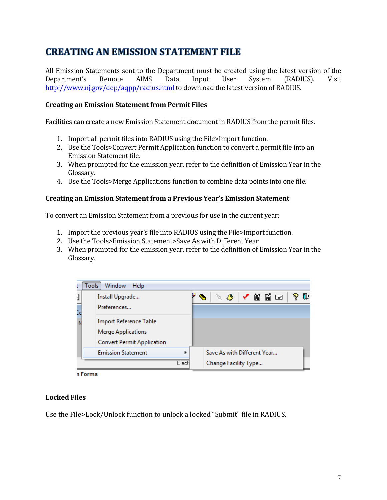# **CREATING AN EMISSION STATEMENT FILE**

All Emission Statements sent to the Department must be created using the latest version of the Department's Remote AIMS Data Input User System (RADIUS). Visit <http://www.nj.gov/dep/aqpp/radius.html> to download the latest version of RADIUS.

### **Creating an Emission Statement from Permit Files**

Facilities can create a new Emission Statement document in RADIUS from the permit files.

- 1. Import all permit files into RADIUS using the File>Import function.
- 2. Use the Tools>Convert Permit Application function to convert a permit file into an Emission Statement file.
- 3. When prompted for the emission year, refer to the definition of Emission Year in the Glossary.
- 4. Use the Tools>Merge Applications function to combine data points into one file.

#### **Creating an Emission Statement from a Previous Year's Emission Statement**

To convert an Emission Statement from a previous for use in the current year:

- 1. Import the previous year's file into RADIUS using the File>Import function.
- 2. Use the Tools>Emission Statement>Save As with Different Year
- 3. When prompted for the emission year, refer to the definition of Emission Year in the Glossary.



n Forms

#### **Locked Files**

Use the File>Lock/Unlock function to unlock a locked "Submit" file in RADIUS.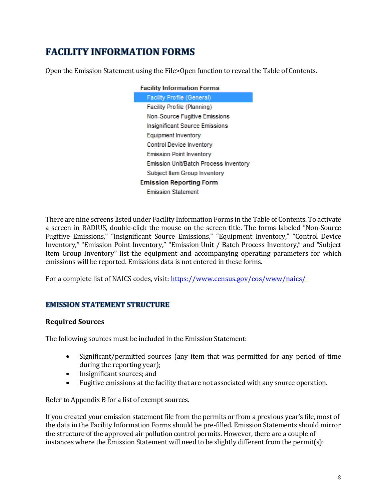# **FACILITY INFORMATION FORMS**

Open the Emission Statement using the File>Open function to reveal the Table of Contents.

| <b>Facility Information Forms</b>     |
|---------------------------------------|
| Facility Profile (General)            |
| Facility Profile (Planning)           |
| Non-Source Fugitive Emissions         |
| Insignificant Source Emissions        |
| Equipment Inventory                   |
| Control Device Inventory              |
| <b>Emission Point Inventory</b>       |
| Emission Unit/Batch Process Inventory |
| Subject Item Group Inventory          |
| <b>Emission Reporting Form</b>        |
| <b>Emission Statement</b>             |

There are nine screens listed under Facility Information Forms in the Table of Contents. To activate a screen in RADIUS, double-click the mouse on the screen title. The forms labeled "Non-Source Fugitive Emissions," "Insignificant Source Emissions," "Equipment Inventory," "Control Device Inventory," "Emission Point Inventory," "Emission Unit / Batch Process Inventory," and "Subject Item Group Inventory" list the equipment and accompanying operating parameters for which emissions will be reported. Emissions data is not entered in these forms.

For a complete list of NAICS codes, visit: <https://www.census.gov/eos/www/naics/>

# **EMISSION STATEMENT STRUCTURE**

# **Required Sources**

The following sources must be included in the Emission Statement:

- Significant/permitted sources (any item that was permitted for any period of time during the reporting year);
- Insignificant sources; and
- Fugitive emissions at the facility that are not associated with any source operation.

Refer to Appendix B for a list of exempt sources.

If you created your emission statement file from the permits or from a previous year's file, most of the data in the Facility Information Forms should be pre-filled. Emission Statements should mirror the structure of the approved air pollution control permits. However, there are a couple of instances where the Emission Statement will need to be slightly different from the permit(s):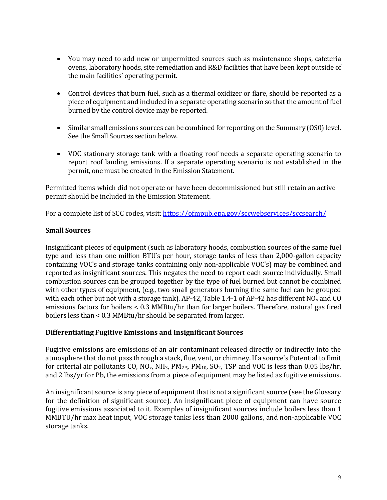- You may need to add new or unpermitted sources such as maintenance shops, cafeteria ovens, laboratory hoods, site remediation and R&D facilities that have been kept outside of the main facilities' operating permit.
- Control devices that burn fuel, such as a thermal oxidizer or flare, should be reported as a piece of equipment and included in a separate operating scenario so that the amount of fuel burned by the control device may be reported.
- Similar small emissions sources can be combined for reporting on the Summary (OS0) level. See the Small Sources section below.
- VOC stationary storage tank with a floating roof needs a separate operating scenario to report roof landing emissions. If a separate operating scenario is not established in the permit, one must be created in the Emission Statement.

Permitted items which did not operate or have been decommissioned but still retain an active permit should be included in the Emission Statement.

For a complete list of SCC codes, visit: <https://ofmpub.epa.gov/sccwebservices/sccsearch/>

# **Small Sources**

Insignificant pieces of equipment (such as laboratory hoods, combustion sources of the same fuel type and less than one million BTU's per hour, storage tanks of less than 2,000-gallon capacity containing VOC's and storage tanks containing only non-applicable VOC's) may be combined and reported as insignificant sources. This negates the need to report each source individually. Small combustion sources can be grouped together by the type of fuel burned but cannot be combined with other types of equipment, (e.g., two small generators burning the same fuel can be grouped with each other but not with a storage tank). AP-42, Table 1.4-1 of AP-42 has different  $NO<sub>x</sub>$  and CO emissions factors for boilers < 0.3 MMBtu/hr than for larger boilers. Therefore, natural gas fired boilers less than < 0.3 MMBtu/hr should be separated from larger.

#### **Differentiating Fugitive Emissions and Insignificant Sources**

Fugitive emissions are emissions of an air contaminant released directly or indirectly into the atmosphere that do not pass through a stack, flue, vent, or chimney. If a source's Potential to Emit for criterial air pollutants CO,  $NO_x$ ,  $NH_3$ ,  $PM_{2.5}$ ,  $PM_{10}$ ,  $SO_2$ , TSP and VOC is less than 0.05 lbs/hr, and 2 lbs/yr for Pb, the emissions from a piece of equipment may be listed as fugitive emissions.

An insignificant source is any piece of equipment that is not a significant source (see the Glossary for the definition of significant source). An insignificant piece of equipment can have source fugitive emissions associated to it. Examples of insignificant sources include boilers less than 1 MMBTU/hr max heat input, VOC storage tanks less than 2000 gallons, and non-applicable VOC storage tanks.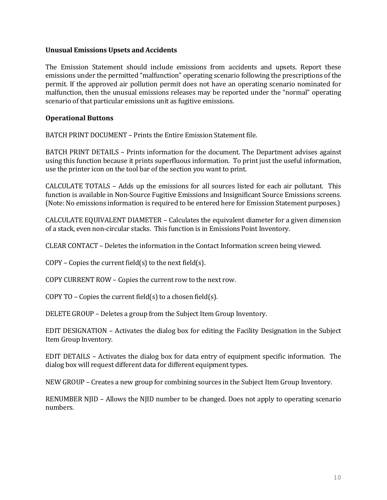#### **Unusual Emissions Upsets and Accidents**

The Emission Statement should include emissions from accidents and upsets. Report these emissions under the permitted "malfunction" operating scenario following the prescriptions of the permit. If the approved air pollution permit does not have an operating scenario nominated for malfunction, then the unusual emissions releases may be reported under the "normal" operating scenario of that particular emissions unit as fugitive emissions.

### **Operational Buttons**

BATCH PRINT DOCUMENT – Prints the Entire Emission Statement file.

BATCH PRINT DETAILS – Prints information for the document. The Department advises against using this function because it prints superfluous information. To print just the useful information, use the printer icon on the tool bar of the section you want to print.

CALCULATE TOTALS – Adds up the emissions for all sources listed for each air pollutant. This function is available in Non-Source Fugitive Emissions and Insignificant Source Emissions screens. (Note: No emissions information is required to be entered here for Emission Statement purposes.)

CALCULATE EQUIVALENT DIAMETER – Calculates the equivalent diameter for a given dimension of a stack, even non-circular stacks. This function is in Emissions Point Inventory.

CLEAR CONTACT – Deletes the information in the Contact Information screen being viewed.

 $COPY$  – Copies the current field(s) to the next field(s).

COPY CURRENT ROW – Copies the current row to the next row.

COPY TO – Copies the current field(s) to a chosen field(s).

DELETE GROUP – Deletes a group from the Subject Item Group Inventory.

EDIT DESIGNATION – Activates the dialog box for editing the Facility Designation in the Subject Item Group Inventory.

EDIT DETAILS – Activates the dialog box for data entry of equipment specific information. The dialog box will request different data for different equipment types.

NEW GROUP – Creates a new group for combining sources in the Subject Item Group Inventory.

RENUMBER NJID – Allows the NJID number to be changed. Does not apply to operating scenario numbers.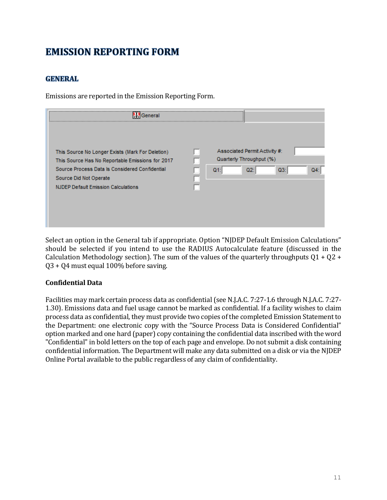# **EMISSION REPORTING FORM**

# **GENERAL**

Emissions are reported in the Emission Reporting Form.

| ------------------------<br>General                                                                                                                                                                                            |                                                                                           |
|--------------------------------------------------------------------------------------------------------------------------------------------------------------------------------------------------------------------------------|-------------------------------------------------------------------------------------------|
| This Source No Longer Exists (Mark For Deletion)<br>This Source Has No Reportable Emissions for 2017<br>Source Process Data Is Considered Confidential<br>Source Did Not Operate<br><b>NJDEP Default Emission Calculations</b> | Associated Permit Activity #:<br>Quarterly Throughput (%)<br>$Q3$ :<br>Q2<br>Q1<br>$Q4$ : |

Select an option in the General tab if appropriate. Option "NJDEP Default Emission Calculations" should be selected if you intend to use the RADIUS Autocalculate feature (discussed in the Calculation Methodology section). The sum of the values of the quarterly throughputs  $Q1 + Q2 +$ Q3 + Q4 must equal 100% before saving.

# **Confidential Data**

Facilities may mark certain process data as confidential (see N.J.A.C. 7:27-1.6 through N.J.A.C. 7:27- 1.30). Emissions data and fuel usage cannot be marked as confidential. If a facility wishes to claim process data as confidential, they must provide two copies of the completed Emission Statement to the Department: one electronic copy with the "Source Process Data is Considered Confidential" option marked and one hard (paper) copy containing the confidential data inscribed with the word "Confidential" in bold letters on the top of each page and envelope. Do not submit a disk containing confidential information. The Department will make any data submitted on a disk or via the NJDEP Online Portal available to the public regardless of any claim of confidentiality.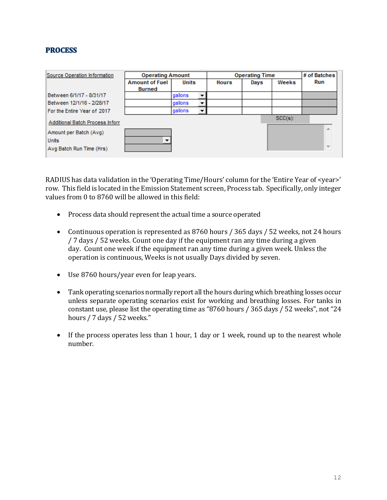# **PROCESS**

| Source Operation Information    | <b>Operating Amount</b> |         | <b>Operating Time</b> |              |      | # of Batches |                          |
|---------------------------------|-------------------------|---------|-----------------------|--------------|------|--------------|--------------------------|
|                                 | <b>Amount of Fuel</b>   | Units   |                       | <b>Hours</b> | Days | Weeks        | Run                      |
|                                 | <b>Burned</b>           |         |                       |              |      |              |                          |
| Between 6/1/17 - 8/31/17        |                         | qallons |                       |              |      |              |                          |
| Between 12/1/16 - 2/28/17       |                         | qallons |                       |              |      |              |                          |
| For the Entire Year of 2017     |                         | gallons |                       |              |      |              |                          |
| Additional Batch Process Inforn |                         |         |                       |              |      | $SCC(s)$ :   |                          |
| Amount per Batch (Avg)          |                         |         |                       |              |      |              | A.                       |
| <b>Units</b>                    |                         |         |                       |              |      |              |                          |
| Avg Batch Run Time (Hrs)        |                         |         |                       |              |      |              | $\overline{\phantom{a}}$ |

RADIUS has data validation in the 'Operating Time/Hours' column for the 'Entire Year of <year>' row. This field is located in the Emission Statement screen, Process tab. Specifically, only integer values from 0 to 8760 will be allowed in this field:

- Process data should represent the actual time a source operated
- Continuous operation is represented as 8760 hours / 365 days / 52 weeks, not 24 hours / 7 days / 52 weeks. Count one day if the equipment ran any time during a given day. Count one week if the equipment ran any time during a given week. Unless the operation is continuous, Weeks is not usually Days divided by seven.
- Use 8760 hours/year even for leap years.
- Tank operating scenarios normally report all the hours during which breathing losses occur unless separate operating scenarios exist for working and breathing losses. For tanks in constant use, please list the operating time as "8760 hours / 365 days / 52 weeks", not "24 hours / 7 days / 52 weeks."
- If the process operates less than 1 hour, 1 day or 1 week, round up to the nearest whole number.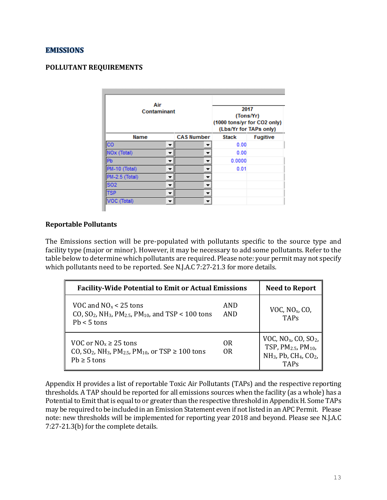### **EMISSIONS**

#### **POLLUTANT REQUIREMENTS**

| Air<br>Contaminant |  |                   | 2017<br>(Tons/Yr)<br>(1000 tons/yr for CO2 only)<br>(Lbs/Yr for TAPs only) |                 |  |
|--------------------|--|-------------------|----------------------------------------------------------------------------|-----------------|--|
| Name               |  | <b>CAS Number</b> | <b>Stack</b>                                                               | <b>Fugitive</b> |  |
| cо                 |  |                   | 0.00                                                                       |                 |  |
| NOx (Total)        |  |                   | 0.00                                                                       |                 |  |
| Pb                 |  |                   | 0.0000                                                                     |                 |  |
| PM-10 (Total)      |  |                   | 0.01                                                                       |                 |  |
| PM-2.5 (Total)     |  |                   |                                                                            |                 |  |
| <b>SO2</b>         |  |                   |                                                                            |                 |  |
| <b>TSP</b>         |  |                   |                                                                            |                 |  |
| <b>OC</b> (Total)  |  |                   |                                                                            |                 |  |

#### **Reportable Pollutants**

The Emissions section will be pre-populated with pollutants specific to the source type and facility type (major or minor). However, it may be necessary to add some pollutants. Refer to the table below to determine which pollutants are required. Please note: your permit may not specify which pollutants need to be reported. See N.J.A.C 7:27-21.3 for more details.

| <b>Facility-Wide Potential to Emit or Actual Emissions</b>                                                                                             | <b>Need to Report</b> |                                                                                                                                                                         |
|--------------------------------------------------------------------------------------------------------------------------------------------------------|-----------------------|-------------------------------------------------------------------------------------------------------------------------------------------------------------------------|
| VOC and $NOx < 25$ tons<br>CO, SO <sub>2</sub> , NH <sub>3</sub> , PM <sub>2.5</sub> , PM <sub>10</sub> , and TSP < 100 tons<br>$Pb < 5$ tons          | AND<br>AND            | VOC, $NOx$ , CO,<br><b>TAPs</b>                                                                                                                                         |
| VOC or $NO_x \ge 25$ tons<br>CO, SO <sub>2</sub> , NH <sub>3</sub> , PM <sub>2.5</sub> , PM <sub>10</sub> , or TSP $\geq 100$ tons<br>$Pb \geq 5$ tons | 0R<br>0 <sub>R</sub>  | VOC, NO <sub>x</sub> , CO, SO <sub>2</sub> ,<br>TSP, PM <sub>2.5</sub> , PM <sub>10</sub> ,<br>NH <sub>3</sub> , Pb, CH <sub>4</sub> , CO <sub>2</sub> ,<br><b>TAPs</b> |

Appendix H provides a list of reportable Toxic Air Pollutants (TAPs) and the respective reporting thresholds. A TAP should be reported for all emissions sources when the facility (as a whole) has a Potential to Emit that is equal to or greater than the respective threshold in Appendix H. Some TAPs may be required to be included in an Emission Statement even if not listed in an APC Permit. Please note: new thresholds will be implemented for reporting year 2018 and beyond. Please see N.J.A.C 7:27-21.3(b) for the complete details.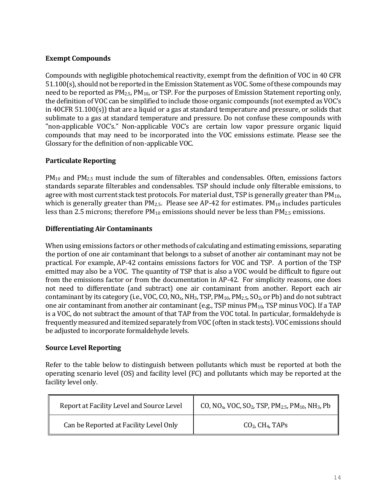# **Exempt Compounds**

Compounds with negligible photochemical reactivity, exempt from the definition of VOC in 40 CFR 51.100(s), should not be reported in the Emission Statement as VOC. Some of these compounds may need to be reported as PM<sub>2.5</sub>, PM<sub>10</sub>, or TSP. For the purposes of Emission Statement reporting only, the definition of VOC can be simplified to include those organic compounds (not exempted as VOC's in 40CFR 51.100(s)) that are a liquid or a gas at standard temperature and pressure, or solids that sublimate to a gas at standard temperature and pressure. Do not confuse these compounds with "non-applicable VOC's." Non-applicable VOC's are certain low vapor pressure organic liquid compounds that may need to be incorporated into the VOC emissions estimate. Please see the Glossary for the definition of non-applicable VOC.

# **Particulate Reporting**

PM<sub>10</sub> and PM<sub>2.5</sub> must include the sum of filterables and condensables. Often, emissions factors standards separate filterables and condensables. TSP should include only filterable emissions, to agree with most current stack test protocols. For material dust, TSP is generally greater than  $PM_{10}$ , which is generally greater than  $PM_{2.5}$ . Please see AP-42 for estimates.  $PM_{10}$  includes particules less than 2.5 microns; therefore  $PM_{10}$  emissions should never be less than  $PM_{2.5}$  emissions.

### **Differentiating Air Contaminants**

When using emissions factors or other methods of calculating and estimating emissions, separating the portion of one air contaminant that belongs to a subset of another air contaminant may not be practical. For example, AP-42 contains emissions factors for VOC and TSP. A portion of the TSP emitted may also be a VOC. The quantity of TSP that is also a VOC would be difficult to figure out from the emissions factor or from the documentation in AP-42. For simplicity reasons, one does not need to differentiate (and subtract) one air contaminant from another. Report each air contaminant by its category (i.e., VOC, CO,  $NO_{x}$ , NH<sub>3</sub>, TSP, PM<sub>10</sub>, PM<sub>2.5</sub>, SO<sub>2</sub>, or Pb) and do not subtract one air contaminant from another air contaminant (e.g., TSP minus  $PM_{10}$ , TSP minus VOC). If a TAP is a VOC, do not subtract the amount of that TAP from the VOC total. In particular, formaldehyde is frequently measured and itemized separately from VOC (often in stack tests). VOC emissions should be adjusted to incorporate formaldehyde levels.

#### **Source Level Reporting**

Refer to the table below to distinguish between pollutants which must be reported at both the operating scenario level (OS) and facility level (FC) and pollutants which may be reported at the facility level only.

| Report at Facility Level and Source Level | CO, NO <sub>x</sub> , VOC, SO <sub>2</sub> , TSP, PM <sub>2.5</sub> , PM <sub>10</sub> , NH <sub>3</sub> , Pb |  |
|-------------------------------------------|---------------------------------------------------------------------------------------------------------------|--|
| Can be Reported at Facility Level Only    | $CO2$ , CH <sub>4</sub> , TAPs                                                                                |  |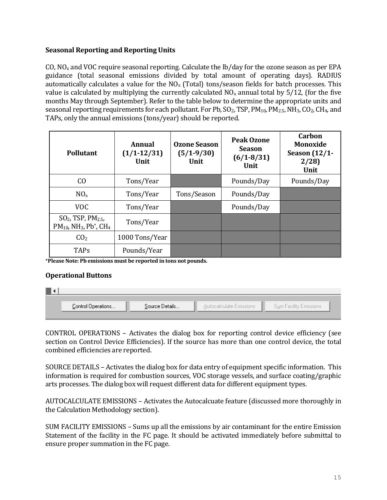# **Seasonal Reporting and Reporting Units**

CO,  $NO<sub>x</sub>$  and VOC require seasonal reporting. Calculate the  $lb/day$  for the ozone season as per EPA guidance (total seasonal emissions divided by total amount of operating days). RADIUS automatically calculates a value for the  $NO<sub>x</sub>$  (Total) tons/season fields for batch processes. This value is calculated by multiplying the currently calculated  $NO<sub>x</sub>$  annual total by 5/12, (for the five months May through September). Refer to the table below to determine the appropriate units and seasonal reporting requirements for each pollutant. For Pb,  $SO_2$ , TSP,  $PM_{10}$ ,  $PM_{2.5}$ , NH<sub>3</sub>, CO<sub>2</sub>, CH<sub>4</sub>, and TAPs, only the annual emissions (tons/year) should be reported.

| <b>Pollutant</b>                                                                                    | Annual<br>$(1/1 - 12/31)$<br>Unit | <b>Ozone Season</b><br>$(5/1-9/30)$<br>Unit | <b>Peak Ozone</b><br><b>Season</b><br>$(6/1 - 8/31)$<br>Unit | Carbon<br><b>Monoxide</b><br><b>Season</b> (12/1-<br>2/28<br>Unit |
|-----------------------------------------------------------------------------------------------------|-----------------------------------|---------------------------------------------|--------------------------------------------------------------|-------------------------------------------------------------------|
| C <sub>O</sub>                                                                                      | Tons/Year                         |                                             | Pounds/Day                                                   | Pounds/Day                                                        |
| $NO_{x}$                                                                                            | Tons/Year                         | Tons/Season                                 | Pounds/Day                                                   |                                                                   |
| <b>VOC</b>                                                                                          | Tons/Year                         |                                             | Pounds/Day                                                   |                                                                   |
| $SO2$ , TSP, PM <sub>2.5</sub> ,<br>$PM_{10}$ , NH <sub>3</sub> , Pb <sup>*</sup> , CH <sub>4</sub> | Tons/Year                         |                                             |                                                              |                                                                   |
| CO <sub>2</sub>                                                                                     | 1000 Tons/Year                    |                                             |                                                              |                                                                   |
| <b>TAPs</b>                                                                                         | Pounds/Year                       |                                             |                                                              |                                                                   |

\***Please Note: Pb emissions must be reported in tons not pounds.** 

#### **Operational Buttons**

| Control Operations | Source Details | Autocalculate Emissions | Sum Facility Emissions |
|--------------------|----------------|-------------------------|------------------------|
|                    |                |                         |                        |

CONTROL OPERATIONS – Activates the dialog box for reporting control device efficiency (see section on Control Device Efficiencies). If the source has more than one control device, the total combined efficiencies are reported.

SOURCE DETAILS – Activates the dialog box for data entry of equipment specific information. This information is required for combustion sources, VOC storage vessels, and surface coating/graphic arts processes. The dialog box will request different data for different equipment types.

AUTOCALCULATE EMISSIONS – Activates the Autocalcuate feature (discussed more thoroughly in the Calculation Methodology section).

SUM FACILITY EMISSIONS – Sums up all the emissions by air contaminant for the entire Emission Statement of the facility in the FC page. It should be activated immediately before submittal to ensure proper summation in the FC page.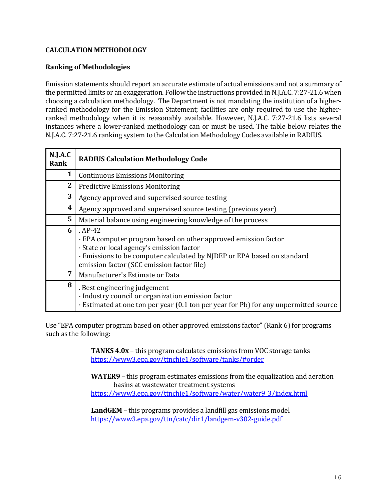# **CALCULATION METHODOLOGY**

### **Ranking of Methodologies**

Emission statements should report an accurate estimate of actual emissions and not a summary of the permitted limits or an exaggeration. Follow the instructions provided in [N.J.A.C. 7:27-21.](http://www.state.nj.us/dep/aqm/currentrules/Sub21.pdf)6 when choosing a calculation methodology. The Department is not mandating the institution of a higherranked methodology for the Emission Statement; facilities are only required to use the higherranked methodology when it is reasonably available. However, [N.J.A.C. 7:27-21.](http://www.state.nj.us/dep/aqm/currentrules/Sub21.pdf)6 lists several instances where a lower-ranked methodology can or must be used. The table below relates the [N.J.A.C. 7:27-21.](http://www.state.nj.us/dep/aqm/currentrules/Sub21.pdf)6 ranking system to the Calculation Methodology Codes available in RADIUS.

| N.J.A.C<br>Rank | <b>RADIUS Calculation Methodology Code</b>                                                                                                                                                                                                      |
|-----------------|-------------------------------------------------------------------------------------------------------------------------------------------------------------------------------------------------------------------------------------------------|
| $\mathbf{1}$    | <b>Continuous Emissions Monitoring</b>                                                                                                                                                                                                          |
| $\mathbf{2}$    | <b>Predictive Emissions Monitoring</b>                                                                                                                                                                                                          |
| 3               | Agency approved and supervised source testing                                                                                                                                                                                                   |
| 4               | Agency approved and supervised source testing (previous year)                                                                                                                                                                                   |
| 5               | Material balance using engineering knowledge of the process                                                                                                                                                                                     |
| 6               | $AP-42$<br>· EPA computer program based on other approved emission factor<br>· State or local agency's emission factor<br>· Emissions to be computer calculated by NJDEP or EPA based on standard<br>emission factor (SCC emission factor file) |
| 7               | Manufacturer's Estimate or Data                                                                                                                                                                                                                 |
| 8               | . Best engineering judgement<br>· Industry council or organization emission factor<br>· Estimated at one ton per year (0.1 ton per year for Pb) for any unpermitted source                                                                      |

Use "EPA computer program based on other approved emissions factor"(Rank 6) for programs such as the following:

> **TANKS 4.0x** – this program calculates emissions from VOC storage tanks <https://www3.epa.gov/ttnchie1/software/tanks/#order>

**WATER9** – this program estimates emissions from the equalization and aeration basins at wastewater treatment systems [https://www3.epa.gov/ttnchie1/software/water/water9\\_3/index.html](https://www3.epa.gov/ttnchie1/software/water/water9_3/index.html)

**LandGEM** – this programs provides a landfill gas emissions model <https://www3.epa.gov/ttn/catc/dir1/landgem-v302-guide.pdf>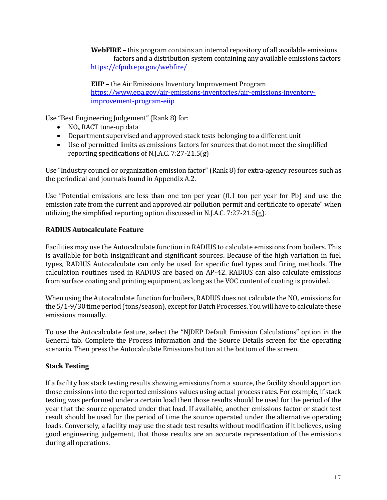**WebFIRE** – this program contains an internal repository of all available emissions factors and a distribution system containing any available emissions factors <https://cfpub.epa.gov/webfire/>

**EIIP** – the Air Emissions Inventory Improvement Program [https://www.epa.gov/air-emissions-inventories/air-emissions-inventory](https://www.epa.gov/air-emissions-inventories/air-emissions-inventory-improvement-program-eiip)[improvement-program-eiip](https://www.epa.gov/air-emissions-inventories/air-emissions-inventory-improvement-program-eiip)

Use "Best Engineering Judgement" (Rank 8) for:

- $NO<sub>x</sub> RACT$  tune-up data
- Department supervised and approved stack tests belonging to a different unit
- Use of permitted limits as emissions factors for sources that do not meet the simplified reporting specifications of [N.J.A.C. 7:27-21.](http://www.state.nj.us/dep/aqm/currentrules/Sub21.pdf)5(g)

Use "Industry council or organization emission factor"(Rank 8) for extra-agency resources such as the periodical and journals found in Appendix A.2.

Use "Potential emissions are less than one ton per year (0.1 ton per year for Pb) and use the emission rate from the current and approved air pollution permit and certificate to operate" when utilizing the simplified reporting option discussed in [N.J.A.C. 7:27-21.5](http://www.state.nj.us/dep/aqm/currentrules/Sub21.pdf)(g).

# **RADIUS Autocalculate Feature**

Facilities may use the Autocalculate function in RADIUS to calculate emissions from boilers. This is available for both insignificant and significant sources. Because of the high variation in fuel types, RADIUS Autocalculate can only be used for specific fuel types and firing methods. The calculation routines used in RADIUS are based on AP-42. RADIUS can also calculate emissions from surface coating and printing equipment, as long as the VOC content of coating is provided.

When using the Autocalculate function for boilers, RADIUS does not calculate the  $NO<sub>x</sub>$  emissions for the 5/1-9/30 time period (tons/season), except for Batch Processes. You will have to calculate these emissions manually.

To use the Autocalculate feature, select the "NJDEP Default Emission Calculations" option in the General tab. Complete the Process information and the Source Details screen for the operating scenario. Then press the Autocalculate Emissions button at the bottom of the screen.

# **Stack Testing**

If a facility has stack testing results showing emissions from a source, the facility should apportion those emissions into the reported emissions values using actual process rates. For example, if stack testing was performed under a certain load then those results should be used for the period of the year that the source operated under that load. If available, another emissions factor or stack test result should be used for the period of time the source operated under the alternative operating loads. Conversely, a facility may use the stack test results without modification if it believes, using good engineering judgement, that those results are an accurate representation of the emissions during all operations.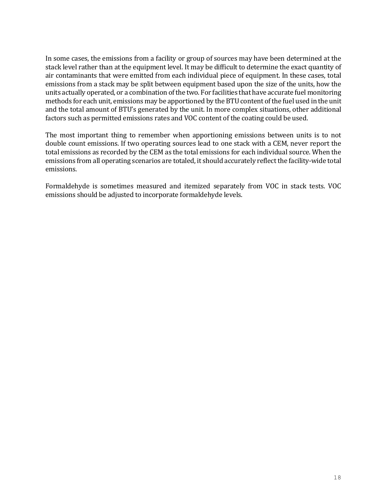In some cases, the emissions from a facility or group of sources may have been determined at the stack level rather than at the equipment level. It may be difficult to determine the exact quantity of air contaminants that were emitted from each individual piece of equipment. In these cases, total emissions from a stack may be split between equipment based upon the size of the units, how the units actually operated, or a combination of the two. For facilities that have accurate fuel monitoring methods for each unit, emissions may be apportioned by the BTU content of the fuel used in the unit and the total amount of BTU's generated by the unit. In more complex situations, other additional factors such as permitted emissions rates and VOC content of the coating could be used.

The most important thing to remember when apportioning emissions between units is to not double count emissions. If two operating sources lead to one stack with a CEM, never report the total emissions as recorded by the CEM as the total emissions for each individual source. When the emissions from all operating scenarios are totaled, it should accurately reflect the facility-wide total emissions.

Formaldehyde is sometimes measured and itemized separately from VOC in stack tests. VOC emissions should be adjusted to incorporate formaldehyde levels.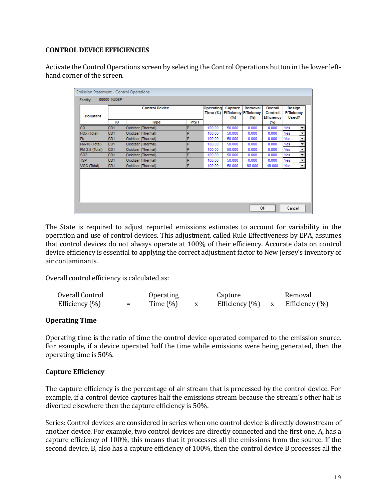# **CONTROL DEVICE EFFICIENCIES**

Activate the Control Operations screen by selecting the Control Operations button in the lower lefthand corner of the screen.

| Used?<br>Yes<br>▼<br>Yes<br>▼ |
|-------------------------------|
|                               |
|                               |
|                               |
| Yes<br>▼                      |
| Yes<br>۰                      |
| ▾<br>Yes                      |
| Yes<br>▾                      |
| Yes<br>▼                      |
| $\mathbf{v}$<br>Yes           |
|                               |

The State is required to adjust reported emissions estimates to account for variability in the operation and use of control devices. This adjustment, called Rule Effectiveness by EPA, assumes that control devices do not always operate at 100% of their efficiency. Accurate data on control device efficiency is essential to applying the correct adjustment factor to New Jersey's inventory of air contaminants.

Overall control efficiency is calculated as:

| Overall Control   |          | <b>Operating</b> | Capture        | Removal              |
|-------------------|----------|------------------|----------------|----------------------|
| Efficiency $(\%)$ | $\equiv$ | Time $(\%)$      | Efficiency (%) | x Efficiency $(\% )$ |

# **Operating Time**

Operating time is the ratio of time the control device operated compared to the emission source. For example, if a device operated half the time while emissions were being generated, then the operating time is 50%.

# **Capture Efficiency**

The capture efficiency is the percentage of air stream that is processed by the control device. For example, if a control device captures half the emissions stream because the stream's other half is diverted elsewhere then the capture efficiency is 50%.

Series: Control devices are considered in series when one control device is directly downstream of another device. For example, two control devices are directly connected and the first one, A, has a capture efficiency of 100%, this means that it processes all the emissions from the source. If the second device, B, also has a capture efficiency of 100%, then the control device B processes all the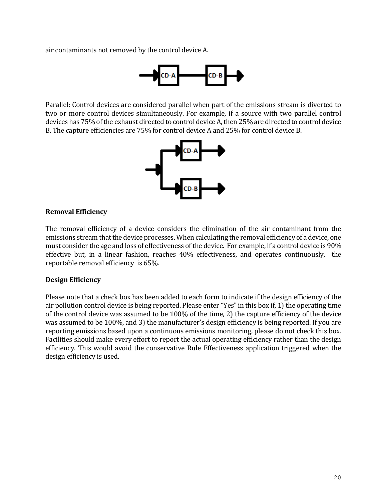air contaminants not removed by the control device A.



Parallel: Control devices are considered parallel when part of the emissions stream is diverted to two or more control devices simultaneously. For example, if a source with two parallel control devices has 75% of the exhaust directed to control device A, then 25% are directed to control device B. The capture efficiencies are 75% for control device A and 25% for control device B.



#### **Removal Efficiency**

The removal efficiency of a device considers the elimination of the air contaminant from the emissions stream that the device processes. When calculating the removal efficiency of a device, one must consider the age and loss of effectiveness of the device. For example, if a control device is 90% effective but, in a linear fashion, reaches 40% effectiveness, and operates continuously, the reportable removal efficiency is 65%.

#### **Design Efficiency**

Please note that a check box has been added to each form to indicate if the design efficiency of the air pollution control device is being reported. Please enter "Yes" in this box if, 1) the operating time of the control device was assumed to be 100% of the time, 2) the capture efficiency of the device was assumed to be 100%, and 3) the manufacturer's design efficiency is being reported. If you are reporting emissions based upon a continuous emissions monitoring, please do not check this box. Facilities should make every effort to report the actual operating efficiency rather than the design efficiency. This would avoid the conservative Rule Effectiveness application triggered when the design efficiency is used.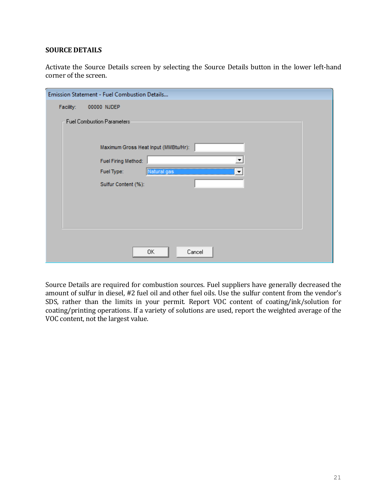#### **SOURCE DETAILS**

Activate the Source Details screen by selecting the Source Details button in the lower left-hand corner of the screen.

| Emission Statement - Fuel Combustion Details |  |
|----------------------------------------------|--|
| Facility:<br>00000 NJDEP                     |  |
| <b>Fuel Combustion Parameters</b>            |  |
| Maximum Gross Heat Input (MMBtu/Hr):         |  |
| Fuel Firing Method:                          |  |
| Fuel Type:<br>088<br>m                       |  |
| Sulfur Content (%):                          |  |
|                                              |  |
|                                              |  |
|                                              |  |
|                                              |  |
|                                              |  |
| 0K<br>Cancel                                 |  |

Source Details are required for combustion sources. Fuel suppliers have generally decreased the amount of sulfur in diesel, #2 fuel oil and other fuel oils. Use the sulfur content from the vendor's SDS, rather than the limits in your permit. Report VOC content of coating/ink/solution for coating/printing operations. If a variety of solutions are used, report the weighted average of the VOC content, not the largest value.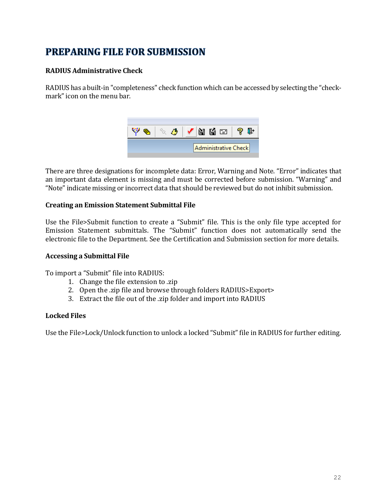# **PREPARING FILE FOR SUBMISSION**

# **RADIUS Administrative Check**

RADIUS has a built-in "completeness" check function which can be accessed by selecting the "checkmark" icon on the menu bar.



There are three designations for incomplete data: Error, Warning and Note. "Error" indicates that an important data element is missing and must be corrected before submission. "Warning" and "Note"indicate missing or incorrect data that should be reviewed but do not inhibit submission.

### **Creating an Emission Statement Submittal File**

Use the File>Submit function to create a "Submit" file. This is the only file type accepted for Emission Statement submittals. The "Submit" function does not automatically send the electronic file to the Department. See the Certification and Submission section for more details.

#### **Accessing a Submittal File**

To import a "Submit" file into RADIUS:

- 1. Change the file extension to .zip
- 2. Open the .zip file and browse through folders RADIUS>Export>
- 3. Extract the file out of the .zip folder and import into RADIUS

#### **Locked Files**

Use the File>Lock/Unlock function to unlock a locked "Submit" file in RADIUS for further editing.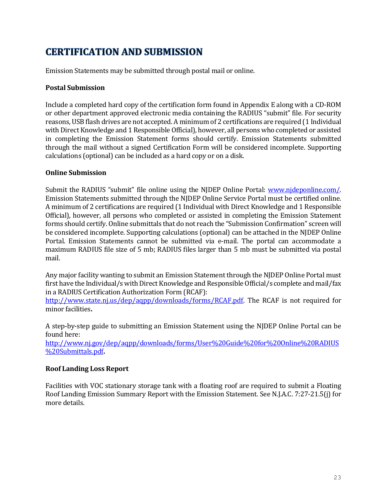# **CERTIFICATION AND SUBMISSION**

Emission Statements may be submitted through postal mail or online.

### **Postal Submission**

Include a completed hard copy of the certification form found in Appendix E along with a CD-ROM or other department approved electronic media containing the RADIUS "submit" file. For security reasons, USB flash drives are not accepted. A minimum of 2 certifications are required (1 Individual with Direct Knowledge and 1 Responsible Official), however, all persons who completed or assisted in completing the Emission Statement forms should certify. Emission Statements submitted through the mail without a signed Certification Form will be considered incomplete. Supporting calculations (optional) can be included as a hard copy or on a disk.

### **Online Submission**

Submit the RADIUS "submit" file online using the NJDEP Online Portal: [www.njdeponline.com/.](http://www.njdeponline.com/) Emission Statements submitted through the NJDEP Online Service Portal must be certified online. A minimum of 2 certifications are required (1 Individual with Direct Knowledge and 1 Responsible Official), however, all persons who completed or assisted in completing the Emission Statement forms should certify. Online submittals that do not reach the "Submission Confirmation" screen will be considered incomplete. Supporting calculations (optional) can be attached in the NJDEP Online Portal. Emission Statements cannot be submitted via e-mail. The portal can accommodate a maximum RADIUS file size of 5 mb; RADIUS files larger than 5 mb must be submitted via postal mail.

Any major facility wanting to submit an Emission Statement through the NJDEP Online Portal must first have the Individual/s with Direct Knowledge and Responsible Official/s complete and mail/fax in a RADIUS Certification Authorization Form (RCAF):

http://www.state.nj.us/dep/agpp/downloads/forms/RCAF.pdf. The RCAF is not required for minor facilities**.**

A step-by-step guide to submitting an Emission Statement using the NJDEP Online Portal can be found here:

[http://www.nj.gov/dep/aqpp/downloads/forms/User%20Guide%20for%20Online%20RADIUS](http://www.nj.gov/dep/aqpp/downloads/forms/User%20Guide%20for%20Online%20RADIUS%20Submittals.pdf) [%20Submittals.pdf](http://www.nj.gov/dep/aqpp/downloads/forms/User%20Guide%20for%20Online%20RADIUS%20Submittals.pdf)**.**

# **Roof Landing Loss Report**

Facilities with VOC stationary storage tank with a floating roof are required to submit a Floating Roof Landing Emission Summary Report with the Emission Statement. Se[e N.J.A.C. 7:27-21.](http://www.state.nj.us/dep/aqm/currentrules/Sub21.pdf)5(j) for more details.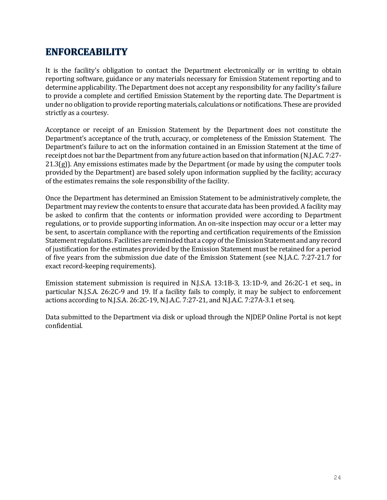# **ENFORCEABILITY**

It is the facility's obligation to contact the Department electronically or in writing to obtain reporting software, guidance or any materials necessary for Emission Statement reporting and to determine applicability. The Department does not accept any responsibility for any facility's failure to provide a complete and certified Emission Statement by the reporting date. The Department is under no obligation to provide reporting materials, calculations or notifications. These are provided strictly as a courtesy.

Acceptance or receipt of an Emission Statement by the Department does not constitute the Department's acceptance of the truth, accuracy, or completeness of the Emission Statement. The Department's failure to act on the information contained in an Emission Statement at the time of receipt does not bar the Departmentfrom any future action based on that information [\(N.J.A.C. 7:27-](http://www.state.nj.us/dep/aqm/currentrules/Sub21.pdf)  $21.3(g)$  $21.3(g)$ ). Any emissions estimates made by the Department (or made by using the computer tools provided by the Department) are based solely upon information supplied by the facility; accuracy of the estimates remains the sole responsibility of the facility.

Once the Department has determined an Emission Statement to be administratively complete, the Department may review the contents to ensure that accurate data has been provided. A facility may be asked to confirm that the contents or information provided were according to Department regulations, or to provide supporting information. An on-site inspection may occur or a letter may be sent, to ascertain compliance with the reporting and certification requirements of the Emission Statement regulations. Facilities are reminded that a copy of the Emission Statement and any record of justification for the estimates provided by the Emission Statement must be retained for a period of five years from the submission due date of the Emission Statement (see [N.J.A.C. 7:27-21.](http://www.state.nj.us/dep/aqm/currentrules/Sub21.pdf)7 for exact record-keeping requirements).

Emission statement submission is required in N.J.S.A. 13:1B-3, 13:1D-9, and 26:2C-1 et seq., in particular N.J.S.A. 26:2C-9 and 19. If a facility fails to comply, it may be subject to enforcement actions according to N.J.S.A. 26:2C-19, N.J.A.C. 7:27-21, and N.J.A.C. 7:27A-3.1 et seq.

Data submitted to the Department via disk or upload through the NJDEP Online Portal is not kept confidential.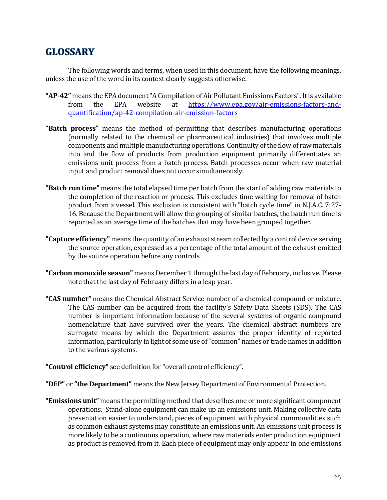# **GLOSSARY**

The following words and terms, when used in this document, have the following meanings, unless the use of the word in its context clearly suggests otherwise.

- **"AP-42"** means the EPA document "A Compilation of Air Pollutant Emissions Factors". It is available from the EPA website at [https://www.epa.gov/air-emissions-factors-and](https://www.epa.gov/air-emissions-factors-and-quantification/ap-42-compilation-air-emission-factors)[quantification/ap-42-compilation-air-emission-factors](https://www.epa.gov/air-emissions-factors-and-quantification/ap-42-compilation-air-emission-factors)
- **"Batch process"** means the method of permitting that describes manufacturing operations (normally related to the chemical or pharmaceutical industries) that involves multiple components and multiple manufacturing operations. Continuity of the flow of raw materials into and the flow of products from production equipment primarily differentiates an emissions unit process from a batch process. Batch processes occur when raw material input and product removal does not occur simultaneously.
- **"Batch run time"** means the total elapsed time per batch from the start of adding raw materials to the completion of the reaction or process. This excludes time waiting for removal of batch product from a vessel. This exclusion is consistent with "batch cycle time" in N.J.A.C. 7:27- 16. Because the Department will allow the grouping of similar batches, the batch run time is reported as an average time of the batches that may have been grouped together.
- **"Capture efficiency"** means the quantity of an exhaust stream collected by a control device serving the source operation, expressed as a percentage of the total amount of the exhaust emitted by the source operation before any controls.
- **"Carbon monoxide season"** means December 1 through the last day of February, inclusive. Please note that the last day of February differs in a leap year.
- **"CAS number"** means the Chemical Abstract Service number of a chemical compound or mixture. The CAS number can be acquired from the facility's Safety Data Sheets (SDS). The CAS number is important information because of the several systems of organic compound nomenclature that have survived over the years. The chemical abstract numbers are surrogate means by which the Department assures the proper identity of reported information, particularly in light of some use of"common" names or trade names in addition to the various systems.
- **"Control efficiency"** see definition for "overall control efficiency".
- **"DEP"** or **"the Department"** means the New Jersey Department of Environmental Protection.
- **"Emissions unit"** means the permitting method that describes one or more significant component operations. Stand-alone equipment can make up an emissions unit. Making collective data presentation easier to understand, pieces of equipment with physical commonalities such as common exhaust systems may constitute an emissions unit. An emissions unit process is more likely to be a continuous operation, where raw materials enter production equipment as product is removed from it. Each piece of equipment may only appear in one emissions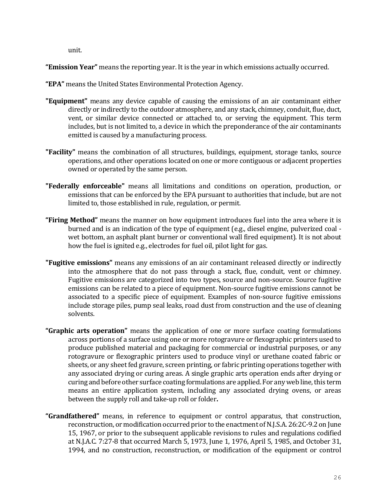unit.

**"Emission Year"** means the reporting year. It is the year in which emissions actually occurred.

**"EPA"** means the United States Environmental Protection Agency.

- **"Equipment"** means any device capable of causing the emissions of an air contaminant either directly or indirectly to the outdoor atmosphere, and any stack, chimney, conduit, flue, duct, vent, or similar device connected or attached to, or serving the equipment. This term includes, but is not limited to, a device in which the preponderance of the air contaminants emitted is caused by a manufacturing process.
- **"Facility"** means the combination of all structures, buildings, equipment, storage tanks, source operations, and other operations located on one or more contiguous or adjacent properties owned or operated by the same person.
- **"Federally enforceable"** means all limitations and conditions on operation, production, or emissions that can be enforced by the EPA pursuant to authorities that include, but are not limited to, those established in rule, regulation, or permit.
- **"Firing Method"** means the manner on how equipment introduces fuel into the area where it is burned and is an indication of the type of equipment (e.g., diesel engine, pulverized coal wet bottom, an asphalt plant burner or conventional wall fired equipment). It is not about how the fuel is ignited e.g., electrodes for fuel oil, pilot light for gas.
- **"Fugitive emissions"** means any emissions of an air contaminant released directly or indirectly into the atmosphere that do not pass through a stack, flue, conduit, vent or chimney. Fugitive emissions are categorized into two types, source and non-source. Source fugitive emissions can be related to a piece of equipment. Non-source fugitive emissions cannot be associated to a specific piece of equipment. Examples of non-source fugitive emissions include storage piles, pump seal leaks, road dust from construction and the use of cleaning solvents.
- **"Graphic arts operation"** means the application of one or more surface coating formulations across portions of a surface using one or more rotogravure or flexographic printers used to produce published material and packaging for commercial or industrial purposes, or any rotogravure or flexographic printers used to produce vinyl or urethane coated fabric or sheets, or any sheet fed gravure, screen printing, or fabric printing operations together with any associated drying or curing areas. A single graphic arts operation ends after drying or curing and before other surface coating formulations are applied. For any web line, this term means an entire application system, including any associated drying ovens, or areas between the supply roll and take-up roll or folder**.**
- **"Grandfathered"** means, in reference to equipment or control apparatus, that construction, reconstruction, or modification occurred prior to the enactment of N.J.S.A. 26:2C-9.2 on June 15, 1967, or prior to the subsequent applicable revisions to rules and regulations codified at N.J.A.C. 7:27-8 that occurred March 5, 1973, June 1, 1976, April 5, 1985, and October 31, 1994, and no construction, reconstruction, or modification of the equipment or control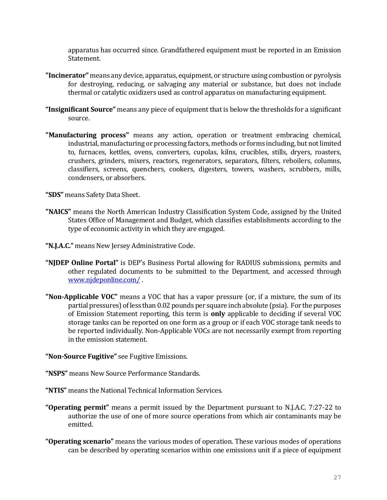apparatus has occurred since. Grandfathered equipment must be reported in an Emission Statement.

- **"Incinerator"** means any device, apparatus, equipment, or structure using combustion or pyrolysis for destroying, reducing, or salvaging any material or substance, but does not include thermal or catalytic oxidizers used as control apparatus on manufacturing equipment.
- **"Insignificant Source"** means any piece of equipment that is below the thresholds for a significant source.
- **"Manufacturing process"** means any action, operation or treatment embracing chemical, industrial, manufacturing or processing factors, methods or forms including, but not limited to, furnaces, kettles, ovens, converters, cupolas, kilns, crucibles, stills, dryers, roasters, crushers, grinders, mixers, reactors, regenerators, separators, filters, reboilers, columns, classifiers, screens, quenchers, cookers, digesters, towers, washers, scrubbers, mills, condensers, or absorbers.

**"SDS"** means Safety Data Sheet.

- **"NAICS"** means the North American Industry Classification System Code, assigned by the United States Office of Management and Budget, which classifies establishments according to the type of economic activity in which they are engaged.
- **"N.J.A.C."** means New Jersey Administrative Code.
- **"NJDEP Online Portal"** is DEP's Business Portal allowing for RADIUS submissions, permits and other regulated documents to be submitted to the Department, and accessed through [www.njdeponline.com/](http://www.njdeponline.com/) .
- **"Non-Applicable VOC"** means a VOC that has a vapor pressure (or, if a mixture, the sum of its partial pressures) of less than 0.02 pounds per square inch absolute (psia). For the purposes of Emission Statement reporting, this term is **only** applicable to deciding if several VOC storage tanks can be reported on one form as a group or if each VOC storage tank needs to be reported individually. Non-Applicable VOCs are not necessarily exempt from reporting in the emission statement.

#### **"Non-Source Fugitive"** see Fugitive Emissions.

**"NSPS"** means New Source Performance Standards.

- **"NTIS"** means the National Technical Information Services.
- **"Operating permit"** means a permit issued by the Department pursuant to N.J.A.C. 7:27-22 to authorize the use of one of more source operations from which air contaminants may be emitted.
- **"Operating scenario"** means the various modes of operation. These various modes of operations can be described by operating scenarios within one emissions unit if a piece of equipment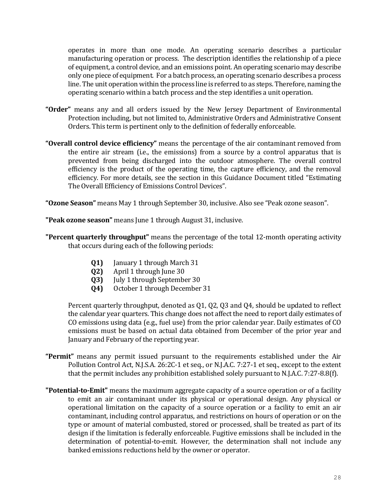operates in more than one mode. An operating scenario describes a particular manufacturing operation or process. The description identifies the relationship of a piece of equipment, a control device, and an emissions point. An operating scenario may describe only one piece of equipment. For a batch process, an operating scenario describes a process line. The unit operation within the process line is referred to as steps. Therefore, naming the operating scenario within a batch process and the step identifies a unit operation.

- **"Order"** means any and all orders issued by the New Jersey Department of Environmental Protection including, but not limited to, Administrative Orders and Administrative Consent Orders. This term is pertinent only to the definition of federally enforceable.
- **"Overall control device efficiency"** means the percentage of the air contaminant removed from the entire air stream (i.e., the emissions) from a source by a control apparatus that is prevented from being discharged into the outdoor atmosphere. The overall control efficiency is the product of the operating time, the capture efficiency, and the removal efficiency. For more details, see the section in this Guidance Document titled "Estimating The Overall Efficiency of Emissions Control Devices".

**"Ozone Season"** means May 1 through September 30, inclusive. Also see "Peak ozone season".

**"Peak ozone season"** means June 1 through August 31, inclusive.

- **"Percent quarterly throughput"** means the percentage of the total 12-month operating activity that occurs during each of the following periods:
	- **Q1)** January 1 through March 31
	- **Q2)** April 1 through June 30
	- **Q3)** July 1 through September 30
	- **Q4)** October 1 through December 31

Percent quarterly throughput, denoted as Q1, Q2, Q3 and Q4, should be updated to reflect the calendar year quarters. This change does not affect the need to report daily estimates of CO emissions using data (e.g., fuel use) from the prior calendar year. Daily estimates of CO emissions must be based on actual data obtained from December of the prior year and January and February of the reporting year.

- **"Permit"** means any permit issued pursuant to the requirements established under the Air Pollution Control Act, N.J.S.A. 26:2C-1 et seq., or N.J.A.C. 7:27-1 et seq., except to the extent that the permit includes any prohibition established solely pursuant to N.J.A.C. 7:27-8.8(f).
- **"Potential-to-Emit"** means the maximum aggregate capacity of a source operation or of a facility to emit an air contaminant under its physical or operational design. Any physical or operational limitation on the capacity of a source operation or a facility to emit an air contaminant, including control apparatus, and restrictions on hours of operation or on the type or amount of material combusted, stored or processed, shall be treated as part of its design if the limitation is federally enforceable. Fugitive emissions shall be included in the determination of potential-to-emit. However, the determination shall not include any banked emissions reductions held by the owner or operator.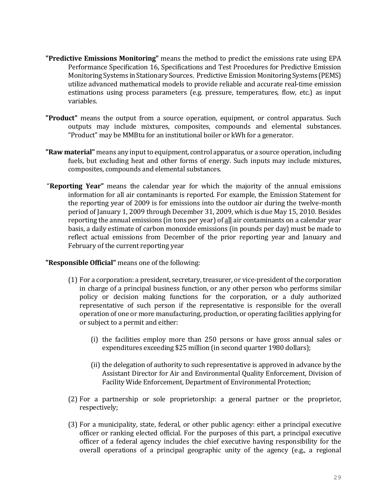- **"Predictive Emissions Monitoring"** means the method to predict the emissions rate using EPA Performance Specification 16, Specifications and Test Procedures for Predictive Emission Monitoring Systems in Stationary Sources. Predictive Emission Monitoring Systems (PEMS) utilize advanced mathematical models to provide reliable and accurate real-time emission estimations using process parameters (e.g. pressure, temperatures, flow, etc.) as input variables.
- **"Product"** means the output from a source operation, equipment, or control apparatus. Such outputs may include mixtures, composites, compounds and elemental substances. "Product" may be MMBtu for an institutional boiler or kWh for a generator.
- **"Raw material"** means any input to equipment, control apparatus, or a source operation, including fuels, but excluding heat and other forms of energy. Such inputs may include mixtures, composites, compounds and elemental substances.
- "**Reporting Year"** means the calendar year for which the majority of the annual emissions information for all air contaminants is reported. For example, the Emission Statement for the reporting year of 2009 is for emissions into the outdoor air during the twelve-month period of January 1, 2009 through December 31, 2009, which is due May 15, 2010. Besides reporting the annual emissions (in tons per year) of all air contaminants on a calendar year basis, a daily estimate of carbon monoxide emissions (in pounds per day) must be made to reflect actual emissions from December of the prior reporting year and January and February of the current reporting year

#### **"Responsible Official"** means one of the following:

- (1) For a corporation: a president, secretary, treasurer, or vice-president of the corporation in charge of a principal business function, or any other person who performs similar policy or decision making functions for the corporation, or a duly authorized representative of such person if the representative is responsible for the overall operation of one or more manufacturing, production, or operating facilities applying for or subject to a permit and either:
	- (i) the facilities employ more than 250 persons or have gross annual sales or expenditures exceeding \$25 million (in second quarter 1980 dollars);
	- (ii) the delegation of authority to such representative is approved in advance by the Assistant Director for Air and Environmental Quality Enforcement, Division of Facility Wide Enforcement, Department of Environmental Protection;
- (2) For a partnership or sole proprietorship: a general partner or the proprietor, respectively;
- (3) For a municipality, state, federal, or other public agency: either a principal executive officer or ranking elected official. For the purposes of this part, a principal executive officer of a federal agency includes the chief executive having responsibility for the overall operations of a principal geographic unity of the agency (e.g., a regional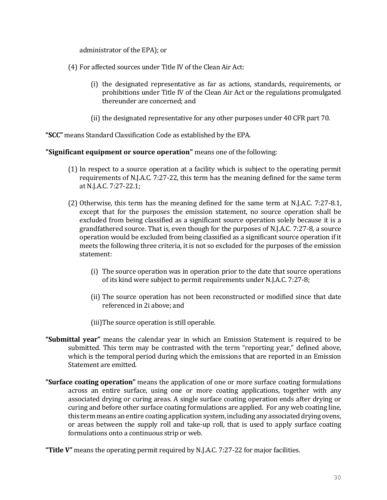administrator of the EPA); or

- (4) For affected sources under Title IV of the Clean Air Act:
	- (i) the designated representative as far as actions, standards, requirements, or prohibitions under Title IV of the Clean Air Act or the regulations promulgated thereunder are concerned; and
	- (ii) the designated representative for any other purposes under 40 CFR part 70.

**"SCC"** means Standard Classification Code as established by the EPA.

**"Significant equipment or source operation"** means one of the following:

- (1) In respect to a source operation at a facility which is subject to the operating permit requirements of N.J.A.C. 7:27-22, this term has the meaning defined for the same term at N.J.A.C. 7:27-22.1;
- (2) Otherwise, this term has the meaning defined for the same term at N.J.A.C. 7:27-8.1, except that for the purposes the emission statement, no source operation shall be excluded from being classified as a significant source operation solely because it is a grandfathered source. That is, even though for the purposes of N.J.A.C. 7:27-8, a source operation would be excluded from being classified as a significant source operation if it meets the following three criteria, it is not so excluded for the purposes of the emission statement:
	- (i) The source operation was in operation prior to the date that source operations of its kind were subject to permit requirements under N.J.A.C. 7:27-8;
	- (ii) The source operation has not been reconstructed or modified since that date referenced in 2i above; and
	- (iii)The source operation is still operable.
- **"Submittal year"** means the calendar year in which an Emission Statement is required to be submitted. This term may be contrasted with the term "reporting year," defined above, which is the temporal period during which the emissions that are reported in an Emission Statement are emitted.
- **"Surface coating operation"** means the application of one or more surface coating formulations across an entire surface, using one or more coating applications, together with any associated drying or curing areas. A single surface coating operation ends after drying or curing and before other surface coating formulations are applied. For any web coating line, this term means an entire coating application system, including any associated drying ovens, or areas between the supply roll and take-up roll, that is used to apply surface coating formulations onto a continuous strip or web.

**"Title V"** means the operating permit required by N.J.A.C. 7:27-22 for major facilities.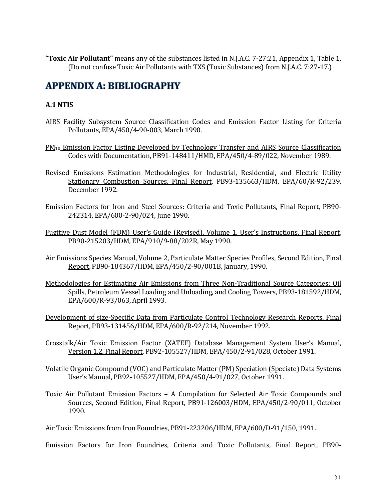**"Toxic Air Pollutant"** means any of the substances listed in N.J.A.C. 7-27:21, Appendix 1, Table 1, (Do not confuse Toxic Air Pollutants with TXS (Toxic Substances) from N.J.A.C. 7:27-17.)

# **APPENDIX A: BIBLIOGRAPHY**

# **A.1 NTIS**

- AIRS Facility Subsystem Source Classification Codes and Emission Factor Listing for Criteria Pollutants, EPA/450/4-90-003, March 1990.
- PM<sup>10</sup> Emission Factor Listing Developed by Technology Transfer and AIRS Source Classification Codes with Documentation, PB91-148411/HMD, EPA/450/4-89/022, November 1989.
- Revised Emissions Estimation Methodologies for Industrial, Residential, and Electric Utility Stationary Combustion Sources, Final Report, PB93-135663/HDM, EPA/60/R-92/239, December 1992.
- Emission Factors for Iron and Steel Sources: Criteria and Toxic Pollutants, Final Report, PB90- 242314, EPA/600-2-90/024, June 1990.
- Fugitive Dust Model (FDM) User's Guide (Revised), Volume 1, User's Instructions, Final Report, PB90-215203/HDM, EPA/910/9-88/202R, May 1990.
- Air Emissions Species Manual, Volume 2, Particulate Matter Species Profiles, Second Edition, Final Report, PB90-184367/HDM, EPA/450/2-90/001B, January, 1990.
- Methodologies for Estimating Air Emissions from Three Non-Traditional Source Categories: Oil Spills, Petroleum Vessel Loading and Unloading, and Cooling Towers, PB93-181592/HDM, EPA/600/R-93/063, April 1993.
- Development of size-Specific Data from Particulate Control Technology Research Reports, Final Report, PB93-131456/HDM, EPA/600/R-92/214, November 1992.
- Crosstalk/Air Toxic Emission Factor (XATEF) Database Management System User's Manual, Version 1.2, Final Report, PB92-105527/HDM, EPA/450/2-91/028, October 1991.
- Volatile Organic Compound (VOC) and Particulate Matter (PM) Speciation (Speciate) Data Systems User's Manual, PB92-105527/HDM, EPA/450/4-91/027, October 1991.
- Toxic Air Pollutant Emission Factors A Compilation for Selected Air Toxic Compounds and Sources, Second Edition, Final Report, PB91-126003/HDM, EPA/450/2-90/011, October 1990.

Air Toxic Emissions from Iron Foundries, PB91-223206/HDM, EPA/600/D-91/150, 1991.

Emission Factors for Iron Foundries, Criteria and Toxic Pollutants, Final Report, PB90-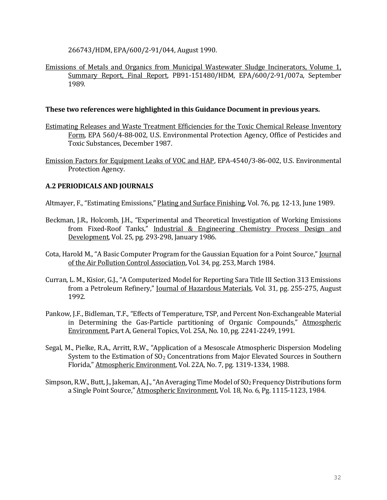266743/HDM, EPA/600/2-91/044, August 1990.

Emissions of Metals and Organics from Municipal Wastewater Sludge Incinerators, Volume 1, Summary Report, Final Report, PB91-151480/HDM, EPA/600/2-91/007a, September 1989.

#### **These two references were highlighted in this Guidance Document in previous years.**

- Estimating Releases and Waste Treatment Efficiencies for the Toxic Chemical Release Inventory Form, EPA 560/4-88-002, U.S. Environmental Protection Agency, Office of Pesticides and Toxic Substances, December 1987.
- Emission Factors for Equipment Leaks of VOC and HAP, EPA-4540/3-86-002, U.S. Environmental Protection Agency.

### **A.2 PERIODICALS AND JOURNALS**

Altmayer, F., "Estimating Emissions," Plating and Surface Finishing, Vol. 76, pg. 12-13, June 1989.

- Beckman, J.R., Holcomb, J.H., "Experimental and Theoretical Investigation of Working Emissions from Fixed-Roof Tanks," Industrial & Engineering Chemistry Process Design and Development, Vol. 25, pg. 293-298, January 1986.
- Cota, Harold M., "A Basic Computer Program for the Gaussian Equation for a Point Source," Journal of the Air Pollution Control Association, Vol. 34, pg. 253, March 1984.
- Curran, L. M., Kisior, G.J., "A Computerized Model for Reporting Sara Title III Section 313 Emissions from a Petroleum Refinery," Journal of Hazardous Materials, Vol. 31, pg. 255-275, August 1992.
- Pankow, J.F., Bidleman, T.F., "Effects of Temperature, TSP, and Percent Non-Exchangeable Material in Determining the Gas-Particle partitioning of Organic Compounds," Atmospheric Environment, Part A, General Topics, Vol. 25A, No. 10, pg. 2241-2249, 1991.
- Segal, M., Pielke, R.A., Arritt, R.W., "Application of a Mesoscale Atmospheric Dispersion Modeling System to the Estimation of  $SO<sub>2</sub>$  Concentrations from Major Elevated Sources in Southern Florida," Atmospheric Environment, Vol. 22A, No. 7, pg. 1319-1334, 1988.
- Simpson, R.W., Butt, J., Jakeman, A.J., "An Averaging Time Model of SO<sub>2</sub> Frequency Distributions form a Single Point Source," Atmospheric Environment, Vol. 18, No. 6, Pg. 1115-1123, 1984.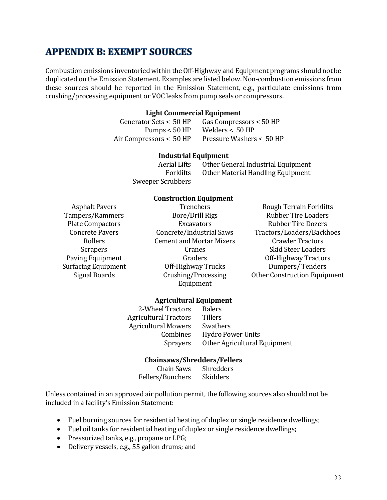# **APPENDIX B: EXEMPT SOURCES**

Combustion emissions inventoried within the Off-Highway and Equipment programs should not be duplicated on the Emission Statement. Examples are listed below. Non-combustion emissions from these sources should be reported in the Emission Statement, e.g., particulate emissions from crushing/processing equipment or VOC leaks from pump seals or compressors.

#### **Light Commercial Equipment**

Generator Sets < 50 HP Gas Compressors < 50 HP Pumps < 50 HP Welders < 50 HP Air Compressors < 50 HP Pressure Washers < 50 HP

#### **Industrial Equipment**

Aerial Lifts Other General Industrial Equipment Forklifts Other Material Handling Equipment Sweeper Scrubbers

#### **Construction Equipment**

Tampers/Rammers Bore/Drill Rigs Rubber Tire Loaders Plate Compactors **Excavators** Excavators Rubber Tire Dozers Rollers Cement and Mortar Mixers Crawler Tractors Scrapers Cranes Cranes Skid Steer Loaders Paving Equipment Graders Graders Graders Off-Highway Tractors Surfacing Equipment Off-Highway Trucks Dumpers/ Tenders Signal Boards Crushing/Processing Equipment

Asphalt Pavers Trenchers Trenchers Rough Terrain Forklifts Concrete Pavers Concrete/Industrial Saws Tractors/Loaders/Backhoes Other Construction Equipment

#### **Agricultural Equipment**

2-Wheel Tractors Balers Agricultural Tractors Tillers Agricultural Mowers Swathers Combines Hydro Power Units Sprayers Other Agricultural Equipment

#### **Chainsaws/Shredders/Fellers**

Chain Saws Shredders Fellers/Bunchers Skidders

Unless contained in an approved air pollution permit, the following sources also should not be included in a facility's Emission Statement:

- Fuel burning sources for residential heating of duplex or single residence dwellings;
- Fuel oil tanks for residential heating of duplex or single residence dwellings;
- Pressurized tanks, e.g., propane or LPG;
- Delivery vessels, e.g., 55 gallon drums; and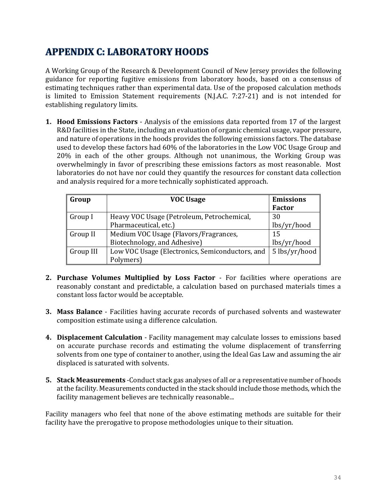# **APPENDIX C: LABORATORY HOODS**

A Working Group of the Research & Development Council of New Jersey provides the following guidance for reporting fugitive emissions from laboratory hoods, based on a consensus of estimating techniques rather than experimental data. Use of the proposed calculation methods is limited to Emission Statement requirements [\(N.J.A.C. 7:27-21\)](http://www.state.nj.us/dep/aqm/currentrules/Sub21.pdf) and is not intended for establishing regulatory limits.

**1. Hood Emissions Factors** - Analysis of the emissions data reported from 17 of the largest R&D facilities in the State, including an evaluation of organic chemical usage, vapor pressure, and nature of operations in the hoods provides the following emissions factors. The database used to develop these factors had 60% of the laboratories in the Low VOC Usage Group and 20% in each of the other groups. Although not unanimous, the Working Group was overwhelmingly in favor of prescribing these emissions factors as most reasonable. Most laboratories do not have nor could they quantify the resources for constant data collection and analysis required for a more technically sophisticated approach.

| Group     | <b>VOC Usage</b>                                | <b>Emissions</b> |
|-----------|-------------------------------------------------|------------------|
|           |                                                 | <b>Factor</b>    |
| Group I   | Heavy VOC Usage (Petroleum, Petrochemical,      | 30               |
|           | Pharmaceutical, etc.)                           | lbs/yr/hood      |
| Group II  | Medium VOC Usage (Flavors/Fragrances,           | 15               |
|           | Biotechnology, and Adhesive)                    | lbs/yr/hood      |
| Group III | Low VOC Usage (Electronics, Semiconductors, and | 5 lbs/yr/hood    |
|           | Polymers)                                       |                  |

- **2. Purchase Volumes Multiplied by Loss Factor** For facilities where operations are reasonably constant and predictable, a calculation based on purchased materials times a constant loss factor would be acceptable.
- **3. Mass Balance** Facilities having accurate records of purchased solvents and wastewater composition estimate using a difference calculation.
- **4. Displacement Calculation** Facility management may calculate losses to emissions based on accurate purchase records and estimating the volume displacement of transferring solvents from one type of container to another, using the Ideal Gas Law and assuming the air displaced is saturated with solvents.
- **5. Stack Measurements** -Conduct stack gas analyses of all or a representative number of hoods at the facility. Measurements conducted in the stack should include those methods, which the facility management believes are technically reasonable...

Facility managers who feel that none of the above estimating methods are suitable for their facility have the prerogative to propose methodologies unique to their situation.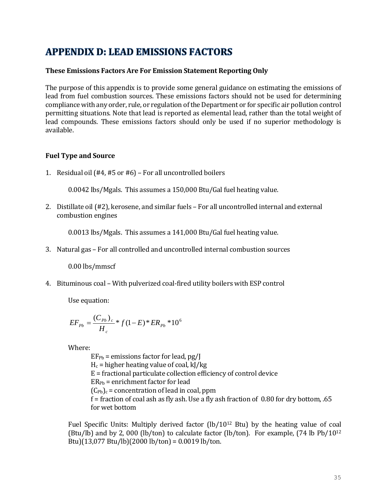# **APPENDIX D: LEAD EMISSIONS FACTORS**

### **These Emissions Factors Are For Emission Statement Reporting Only**

The purpose of this appendix is to provide some general guidance on estimating the emissions of lead from fuel combustion sources. These emissions factors should not be used for determining compliance with any order, rule, or regulation of the Department or for specific air pollution control permitting situations. Note that lead is reported as elemental lead, rather than the total weight of lead compounds. These emissions factors should only be used if no superior methodology is available.

### **Fuel Type and Source**

1. Residual oil (#4, #5 or #6) – For all uncontrolled boilers

0.0042 lbs/Mgals. This assumes a 150,000 Btu/Gal fuel heating value.

2. Distillate oil (#2), kerosene, and similar fuels – For all uncontrolled internal and external combustion engines

0.0013 lbs/Mgals. This assumes a 141,000 Btu/Gal fuel heating value.

3. Natural gas – For all controlled and uncontrolled internal combustion sources

0.00 lbs/mmscf

4. Bituminous coal – With pulverized coal-fired utility boilers with ESP control

Use equation:

$$
EF_{Pb} = \frac{(C_{Pb})_c}{H_c} * f(1-E) * ER_{Pb} * 10^6
$$

Where:

 $EF_{Pb}$  = emissions factor for lead,  $pg/I$  $H_c$  = higher heating value of coal, kJ/kg E = fractional particulate collection efficiency of control device  $ER_{Pb}$  = enrichment factor for lead  $(C_{Pb})_c$  = concentration of lead in coal, ppm f = fraction of coal ash as fly ash. Use a fly ash fraction of 0.80 for dry bottom, .65 for wet bottom

Fuel Specific Units: Multiply derived factor  $(lb/10^{12}$  Btu) by the heating value of coal (Btu/lb) and by 2, 000 (lb/ton) to calculate factor (lb/ton). For example, (74 lb Pb/10<sup>12</sup> Btu)(13,077 Btu/lb)(2000 lb/ton) = 0.0019 lb/ton.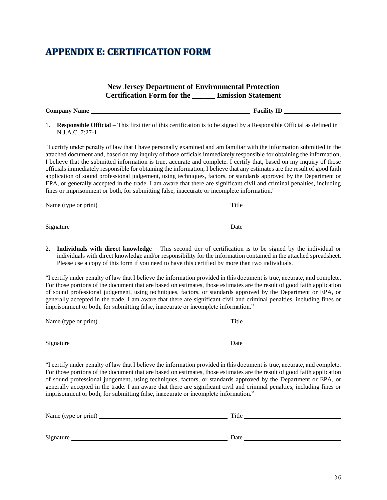# **APPENDIX E: CERTIFICATION FORM**

|    |                                                                                                                                                                                       | <b>New Jersey Department of Environmental Protection</b><br><b>Certification Form for the Emission Statement</b>                                                                                                                                                                                                                                                                                                                                                                                                                                                                                                                                                                                                                                     |
|----|---------------------------------------------------------------------------------------------------------------------------------------------------------------------------------------|------------------------------------------------------------------------------------------------------------------------------------------------------------------------------------------------------------------------------------------------------------------------------------------------------------------------------------------------------------------------------------------------------------------------------------------------------------------------------------------------------------------------------------------------------------------------------------------------------------------------------------------------------------------------------------------------------------------------------------------------------|
|    |                                                                                                                                                                                       |                                                                                                                                                                                                                                                                                                                                                                                                                                                                                                                                                                                                                                                                                                                                                      |
| 1. | N.J.A.C. 7:27-1.                                                                                                                                                                      | <b>Responsible Official</b> – This first tier of this certification is to be signed by a Responsible Official as defined in                                                                                                                                                                                                                                                                                                                                                                                                                                                                                                                                                                                                                          |
|    | fines or imprisonment or both, for submitting false, inaccurate or incomplete information."                                                                                           | "I certify under penalty of law that I have personally examined and am familiar with the information submitted in the<br>attached document and, based on my inquiry of those officials immediately responsible for obtaining the information,<br>I believe that the submitted information is true, accurate and complete. I certify that, based on my inquiry of those<br>officials immediately responsible for obtaining the information, I believe that any estimates are the result of good faith<br>application of sound professional judgement, using techniques, factors, or standards approved by the Department or<br>EPA, or generally accepted in the trade. I am aware that there are significant civil and criminal penalties, including |
|    |                                                                                                                                                                                       |                                                                                                                                                                                                                                                                                                                                                                                                                                                                                                                                                                                                                                                                                                                                                      |
|    |                                                                                                                                                                                       | Signature Date Date Date                                                                                                                                                                                                                                                                                                                                                                                                                                                                                                                                                                                                                                                                                                                             |
| 2. | Please use a copy of this form if you need to have this certified by more than two individuals.<br>imprisonment or both, for submitting false, inaccurate or incomplete information." | Individuals with direct knowledge – This second tier of certification is to be signed by the individual or<br>individuals with direct knowledge and/or responsibility for the information contained in the attached spreadsheet.<br>"I certify under penalty of law that I believe the information provided in this document is true, accurate, and complete.<br>For those portions of the document that are based on estimates, those estimates are the result of good faith application<br>of sound professional judgement, using techniques, factors, or standards approved by the Department or EPA, or<br>generally accepted in the trade. I am aware that there are significant civil and criminal penalties, including fines or               |
|    |                                                                                                                                                                                       |                                                                                                                                                                                                                                                                                                                                                                                                                                                                                                                                                                                                                                                                                                                                                      |
|    |                                                                                                                                                                                       | Signature Date Date Development of the Signature Date Date Date Development of the Signature of the Signature of the Signature of the Signature of the Signature of the Signature of the Signature of the Signature of the Sig                                                                                                                                                                                                                                                                                                                                                                                                                                                                                                                       |
|    | imprisonment or both, for submitting false, inaccurate or incomplete information."                                                                                                    | "I certify under penalty of law that I believe the information provided in this document is true, accurate, and complete.<br>For those portions of the document that are based on estimates, those estimates are the result of good faith application<br>of sound professional judgement, using techniques, factors, or standards approved by the Department or EPA, or<br>generally accepted in the trade. I am aware that there are significant civil and criminal penalties, including fines or                                                                                                                                                                                                                                                   |
|    |                                                                                                                                                                                       |                                                                                                                                                                                                                                                                                                                                                                                                                                                                                                                                                                                                                                                                                                                                                      |
|    |                                                                                                                                                                                       |                                                                                                                                                                                                                                                                                                                                                                                                                                                                                                                                                                                                                                                                                                                                                      |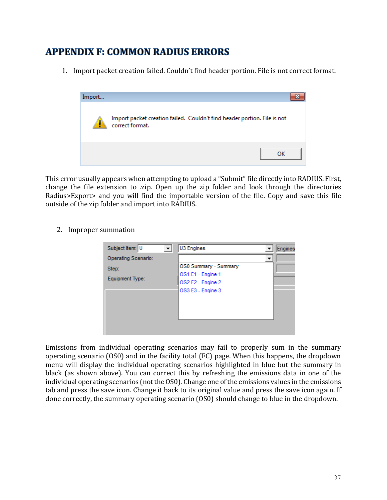# **APPENDIX F: COMMON RADIUS ERRORS**

1. Import packet creation failed. Couldn't find header portion. File is not correct format.



This error usually appears when attempting to upload a "Submit" file directly into RADIUS. First, change the file extension to .zip. Open up the zip folder and look through the directories Radius>Export> and you will find the importable version of the file. Copy and save this file outside of the zip folder and import into RADIUS.

2. Improper summation

| Subject Item: U            | U3 Engines            | <b>Engines</b> |
|----------------------------|-----------------------|----------------|
| <b>Operating Scenario:</b> | ▼                     |                |
| Step:                      | OS0 Summary - Summary |                |
|                            | OS1 E1 - Engine 1     |                |
| Equipment Type:            | OS2 E2 - Engine 2     |                |
|                            | OS3 E3 - Engine 3     |                |
|                            |                       |                |
|                            |                       |                |
|                            |                       |                |
|                            |                       |                |
|                            |                       |                |

Emissions from individual operating scenarios may fail to properly sum in the summary operating scenario (OS0) and in the facility total (FC) page. When this happens, the dropdown menu will display the individual operating scenarios highlighted in blue but the summary in black (as shown above). You can correct this by refreshing the emissions data in one of the individual operating scenarios (not the OS0). Change one of the emissions values in the emissions tab and press the save icon. Change it back to its original value and press the save icon again. If done correctly, the summary operating scenario (OS0) should change to blue in the dropdown.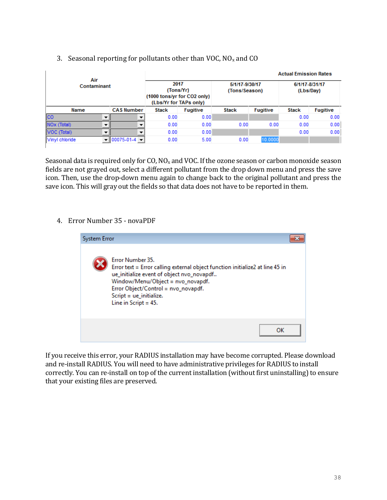|                         |  |                                                                            |              |                                 |              | <b>Actual Emission Rates</b> |              |                 |
|-------------------------|--|----------------------------------------------------------------------------|--------------|---------------------------------|--------------|------------------------------|--------------|-----------------|
| Air<br>Contaminant      |  | 2017<br>(Tons/Yr)<br>(1000 tons/yr for CO2 only)<br>(Lbs/Yr for TAPs only) |              | 5/1/17-9/30/17<br>(Tons/Season) |              | 6/1/17-8/31/17<br>(Lbs/Day)  |              |                 |
| Name                    |  | <b>CAS Number</b>                                                          | <b>Stack</b> | <b>Fugitive</b>                 | <b>Stack</b> | <b>Fugitive</b>              | <b>Stack</b> | <b>Fugitive</b> |
| <b>ICO</b>              |  |                                                                            | 0.00         | 0.00                            |              |                              | 0.00         | 0.00            |
| NO <sub>x</sub> (Total) |  |                                                                            | 0.00         | 0.00                            | 0.00         | 0.00                         | 0.00         | 0.00            |
| VOC (Total)             |  |                                                                            | 0.00         | 0.00                            |              |                              | 0.00         | 0.00            |
| Vinyl chloride          |  | $ 00075 - 01 - 4 $                                                         | 0.00         | 5.00                            | 0.00         | 10.0000                      |              |                 |

### 3. Seasonal reporting for pollutants other than VOC,  $NO<sub>x</sub>$  and CO

Seasonal data is required only for CO,  $NO_x$  and VOC. If the ozone season or carbon monoxide season fields are not grayed out, select a different pollutant from the drop down menu and press the save icon. Then, use the drop-down menu again to change back to the original pollutant and press the save icon. This will gray out the fields so that data does not have to be reported in them.

# 4. Error Number 35 - novaPDF



If you receive this error, your RADIUS installation may have become corrupted. Please download and re-install RADIUS. You will need to have administrative privileges for RADIUS to install correctly. You can re-install on top of the current installation (without first uninstalling) to ensure that your existing files are preserved.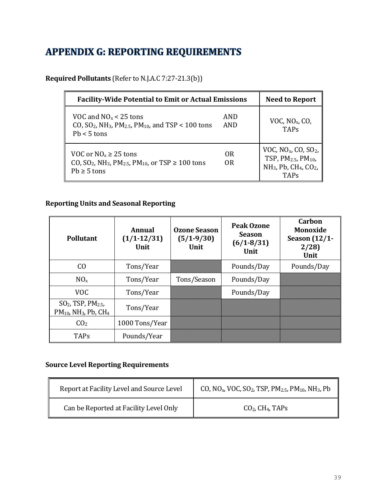# **APPENDIX G: REPORTING REQUIREMENTS**

**Required Pollutants** (Refer to N.J.A.C 7:27-21.3(b))

| <b>Facility-Wide Potential to Emit or Actual Emissions</b>                                                                                             | <b>Need to Report</b> |                                                                                                                                                        |
|--------------------------------------------------------------------------------------------------------------------------------------------------------|-----------------------|--------------------------------------------------------------------------------------------------------------------------------------------------------|
| VOC and $NOx < 25$ tons<br>CO, SO <sub>2</sub> , NH <sub>3</sub> , PM <sub>2.5</sub> , PM <sub>10</sub> , and TSP < 100 tons<br>$Pb < 5$ tons          | AND<br>AND            | VOC, $NOx$ , CO,<br><b>TAPs</b>                                                                                                                        |
| VOC or $NO_x \ge 25$ tons<br>CO, SO <sub>2</sub> , NH <sub>3</sub> , PM <sub>2.5</sub> , PM <sub>10</sub> , or TSP $\geq 100$ tons<br>$Pb \geq 5$ tons | 0 <sub>R</sub><br>0R  | VOC, $NOx$ , CO, SO <sub>2</sub> ,<br>TSP, PM <sub>2.5</sub> , PM <sub>10</sub> ,<br>NH <sub>3</sub> , Pb, CH <sub>4</sub> , CO <sub>2</sub> ,<br>TAPs |

# **Reporting Units and Seasonal Reporting**

| <b>Pollutant</b>                                                                      | Annual<br>$(1/1-12/31)$<br>Unit | <b>Ozone Season</b><br>$(5/1-9/30)$<br>Unit | <b>Peak Ozone</b><br><b>Season</b><br>$(6/1 - 8/31)$<br>Unit | Carbon<br><b>Monoxide</b><br>Season $(12/1$ -<br>2/28<br>Unit |
|---------------------------------------------------------------------------------------|---------------------------------|---------------------------------------------|--------------------------------------------------------------|---------------------------------------------------------------|
| C <sub>O</sub>                                                                        | Tons/Year                       |                                             | Pounds/Day                                                   | Pounds/Day                                                    |
| $NO_{x}$                                                                              | Tons/Year                       | Tons/Season                                 | Pounds/Day                                                   |                                                               |
| VOC.                                                                                  | Tons/Year                       |                                             | Pounds/Day                                                   |                                                               |
| $SO2$ , TSP, PM <sub>2.5</sub> ,<br>$PM_{10}$ , NH <sub>3</sub> , Pb, CH <sub>4</sub> | Tons/Year                       |                                             |                                                              |                                                               |
| CO <sub>2</sub>                                                                       | 1000 Tons/Year                  |                                             |                                                              |                                                               |
| <b>TAPs</b>                                                                           | Pounds/Year                     |                                             |                                                              |                                                               |

# **Source Level Reporting Requirements**

| Report at Facility Level and Source Level | CO, NO <sub>x</sub> , VOC, SO <sub>2</sub> , TSP, PM <sub>2.5</sub> , PM <sub>10</sub> , NH <sub>3</sub> , Pb |  |  |
|-------------------------------------------|---------------------------------------------------------------------------------------------------------------|--|--|
| Can be Reported at Facility Level Only    | $CO2$ , CH <sub>4</sub> , TAPs                                                                                |  |  |